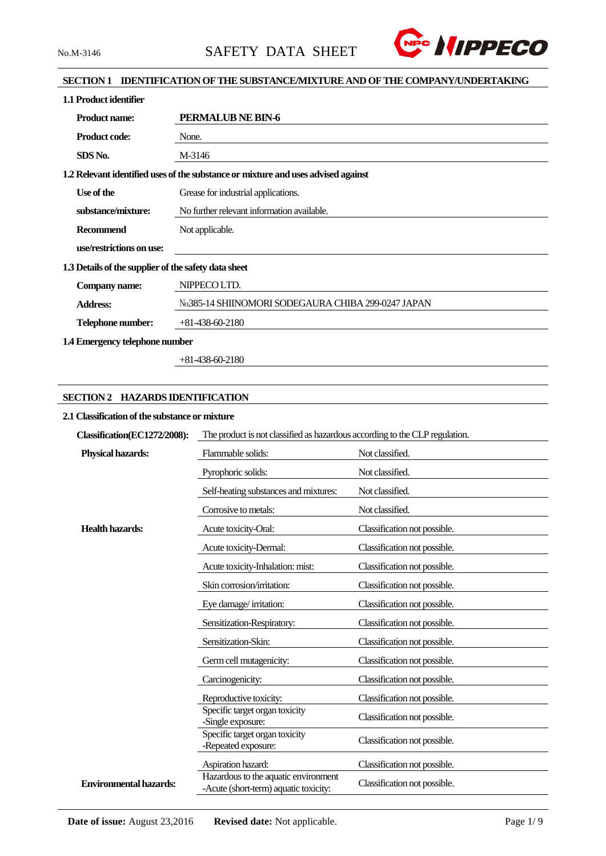

# **SECTION 1 IDENTIFICATION OF THE SUBSTANCE/MIXTURE AND OF THE COMPANY/UNDERTAKING**

| 1.1 Product identifier                               |                                                                                   |  |  |  |
|------------------------------------------------------|-----------------------------------------------------------------------------------|--|--|--|
| <b>Product name:</b>                                 | PERMALUB NE BIN-6                                                                 |  |  |  |
| <b>Product code:</b>                                 | None.                                                                             |  |  |  |
| SDS No.                                              | M-3146                                                                            |  |  |  |
|                                                      | 1.2 Relevant identified uses of the substance or mixture and uses advised against |  |  |  |
| Use of the                                           | Grease for industrial applications.                                               |  |  |  |
| substance/mixture:                                   | No further relevant information available.                                        |  |  |  |
| Recommend                                            | Not applicable.                                                                   |  |  |  |
| use/restrictions on use:                             |                                                                                   |  |  |  |
| 1.3 Details of the supplier of the safety data sheet |                                                                                   |  |  |  |
| Company name:                                        | NIPPECO LTD.                                                                      |  |  |  |
| <b>Address:</b>                                      | No.385-14 SHIINOMORI SODEGAURA CHIBA 299-0247 JAPAN                               |  |  |  |
| Telephone number:                                    | $+81-438-60-2180$                                                                 |  |  |  |
| 1.4 Emergency telephone number                       |                                                                                   |  |  |  |

+81-438-60-2180

# **SECTION 2 HAZARDS IDENTIFICATION**

# **2.1 Classification of the substance or mixture**

| Classification(EC1272/2008):  | The product is not classified as hazardous according to the CLP regulation.   |                              |  |  |  |
|-------------------------------|-------------------------------------------------------------------------------|------------------------------|--|--|--|
| <b>Physical hazards:</b>      | Flammable solids:                                                             | Not classified.              |  |  |  |
|                               | Pyrophoric solids:                                                            | Not classified.              |  |  |  |
|                               | Self-heating substances and mixtures:                                         | Not classified.              |  |  |  |
|                               | Corrosive to metals:                                                          | Not classified.              |  |  |  |
| <b>Health hazards:</b>        | Acute toxicity-Oral:                                                          | Classification not possible. |  |  |  |
|                               | Acute toxicity-Dermal:                                                        | Classification not possible. |  |  |  |
|                               | Acute toxicity-Inhalation: mist:                                              | Classification not possible. |  |  |  |
|                               | Skin corrosion/irritation:                                                    | Classification not possible. |  |  |  |
|                               | Eye damage/irritation:                                                        | Classification not possible. |  |  |  |
|                               | Sensitization-Respiratory:                                                    | Classification not possible. |  |  |  |
|                               | Sensitization-Skin:                                                           | Classification not possible. |  |  |  |
|                               | Germ cell mutagenicity:                                                       | Classification not possible. |  |  |  |
|                               | Carcinogenicity:                                                              | Classification not possible. |  |  |  |
|                               | Reproductive toxicity:                                                        | Classification not possible. |  |  |  |
|                               | Specific target organ toxicity<br>-Single exposure:                           | Classification not possible. |  |  |  |
|                               | Specific target organ toxicity<br>-Repeated exposure:                         | Classification not possible. |  |  |  |
|                               | Aspiration hazard:                                                            | Classification not possible. |  |  |  |
| <b>Environmental hazards:</b> | Hazardous to the aquatic environment<br>-Acute (short-term) aquatic toxicity: | Classification not possible. |  |  |  |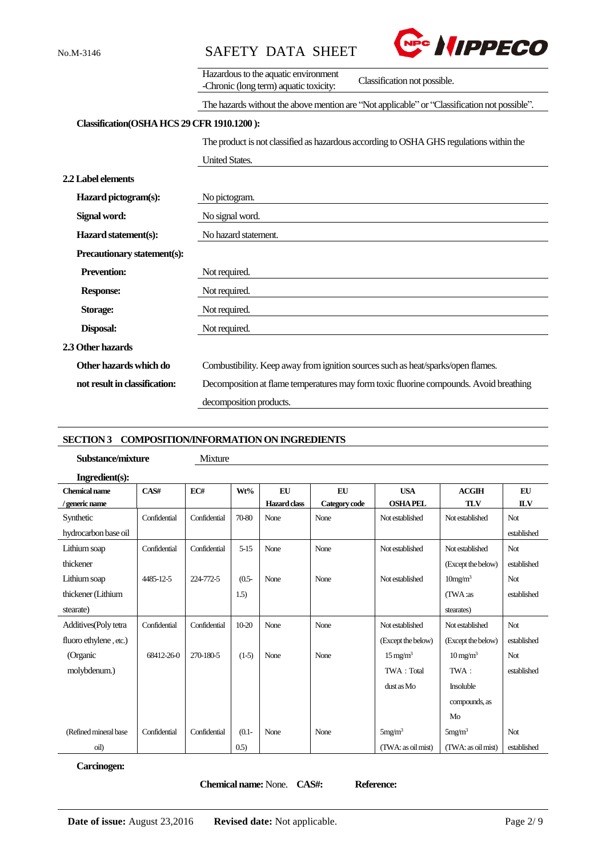



| Hazardous to the aquatic environment   |                              |
|----------------------------------------|------------------------------|
| -Chronic (long term) aquatic toxicity: | Classification not possible. |

#### The hazards without the above mention are "Not applicable" or "Classification not possible".

# **Classification(OSHAHCS 29 CFR 1910.1200 ):**

The product is not classified as hazardous according to OSHA GHS regulations within the

|                               | <b>United States.</b>                                                                  |  |  |
|-------------------------------|----------------------------------------------------------------------------------------|--|--|
| <b>2.2 Label elements</b>     |                                                                                        |  |  |
| Hazard pictogram(s):          | No pictogram.                                                                          |  |  |
| Signal word:                  | No signal word.                                                                        |  |  |
| Hazard statement(s):          | No hazard statement.                                                                   |  |  |
| Precautionary statement(s):   |                                                                                        |  |  |
| <b>Prevention:</b>            | Not required.                                                                          |  |  |
| <b>Response:</b>              | Not required.                                                                          |  |  |
| <b>Storage:</b>               | Not required.                                                                          |  |  |
| Disposal:                     | Not required.                                                                          |  |  |
| 2.3 Other hazards             |                                                                                        |  |  |
| Other hazards which do        | Combustibility. Keep away from ignition sources such as heat/sparks/open flames.       |  |  |
| not result in classification: | Decomposition at flame temperatures may form toxic fluorine compounds. Avoid breathing |  |  |
|                               | decomposition products.                                                                |  |  |

#### **SECTION 3 COMPOSITION/INFORMATION ON INGREDIENTS**

| Substance/mixture      |              | Mixture      |          |                     |               |                        |                        |             |
|------------------------|--------------|--------------|----------|---------------------|---------------|------------------------|------------------------|-------------|
| Ingredient(s):         |              |              |          |                     |               |                        |                        |             |
| <b>Chemical name</b>   | CAS#         | EC#          | Wt%      | <b>EU</b>           | <b>EU</b>     | <b>USA</b>             | <b>ACGIH</b>           | EU          |
| generic name           |              |              |          | <b>Hazard</b> class | Category code | <b>OSHA PEL</b>        | <b>TLV</b>             | <b>ILV</b>  |
| Synthetic              | Confidential | Confidential | 70-80    | None                | None          | Not established        | Not established        | Not.        |
| hydrocarbon base oil   |              |              |          |                     |               |                        |                        | established |
| Lithium soap           | Confidential | Confidential | $5 - 15$ | None                | None          | Not established        | Not established        | Not         |
| thickener              |              |              |          |                     |               |                        | (Except the below)     | established |
| Lithium soap           | 4485-12-5    | 224-772-5    | $(0.5 -$ | None                | None          | Not established        | 10mg/m <sup>3</sup>    | Not         |
| thickener (Lithium     |              |              | 1.5)     |                     |               |                        | (TWA:as                | established |
| stearate)              |              |              |          |                     |               |                        | stearates)             |             |
| Additives (Poly tetra  | Confidential | Confidential | $10-20$  | None                | None          | Not established        | Not established        | Not         |
| fluoro ethylene, etc.) |              |              |          |                     |               | (Except the below)     | (Except the below)     | established |
| (Organic               | 68412-26-0   | 270-180-5    | $(1-5)$  | None                | None          | $15 \,\mathrm{mg/m^3}$ | $10 \,\mathrm{mg/m^3}$ | Not         |
| molybdenum.)           |              |              |          |                     |               | TWA: Total             | TWA:                   | established |
|                        |              |              |          |                     |               | $dust$ as $Mo$         | Insoluble              |             |
|                        |              |              |          |                     |               |                        | compounds, as          |             |
|                        |              |              |          |                     |               |                        | Mo                     |             |
| (Refined mineral base) | Confidential | Confidential | $(0.1 -$ | None                | None          | 5mg/m <sup>3</sup>     | 5mg/m <sup>3</sup>     | Not         |
| oil)                   |              |              | (0.5)    |                     |               | (TWA: as oil mist)     | (TWA: as oil mist)     | established |

#### **Carcinogen:**

**Chemical name:** None. **CAS#: Reference:**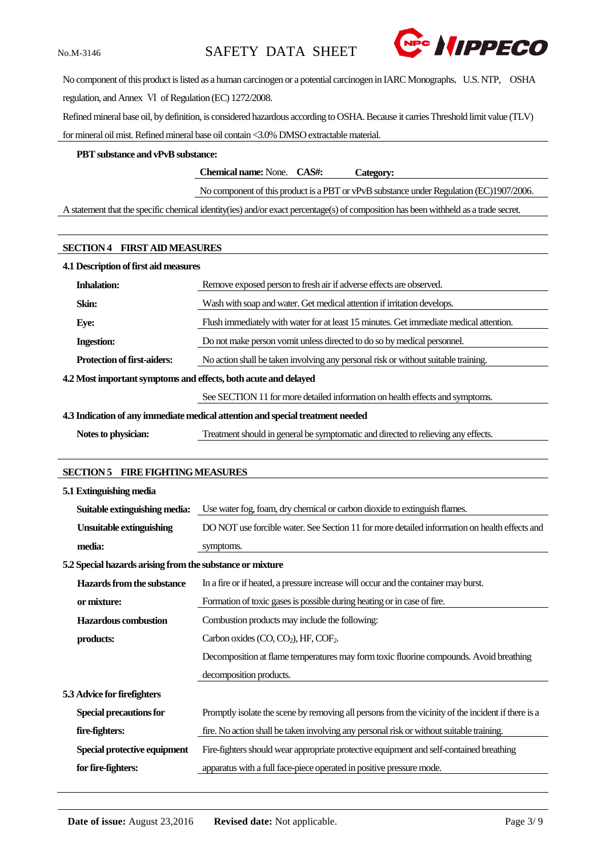

No component of this product is listed as a human carcinogen or a potential carcinogen in IARC Monographs, U.S. NTP, OSHA regulation, and Annex Ⅵ of Regulation (EC) 1272/2008.

Refined mineral base oil, by definition, is considered hazardous according to OSHA. Because it carries Threshold limit value (TLV) for mineral oil mist. Refined mineral base oil contain <3.0% DMSO extractable material.

#### **PBT substance and vPvB substance:**

**Chemical name:** None. **CAS#: Category:**

No component of this product is a PBT or vPvB substance under Regulation (EC)1907/2006.

A statement that the specific chemical identity(ies) and/or exact percentage(s) of composition has been withheld as a trade secret.

| <b>SECTION 4 FIRST AID MEASURES</b>                                            |                                                                                        |  |  |  |
|--------------------------------------------------------------------------------|----------------------------------------------------------------------------------------|--|--|--|
| 4.1 Description of first aid measures                                          |                                                                                        |  |  |  |
| <b>Inhalation:</b>                                                             | Remove exposed person to fresh air if adverse effects are observed.                    |  |  |  |
| Skin:                                                                          | Wash with soap and water. Get medical attention if irritation develops.                |  |  |  |
| Eye:                                                                           | Flush immediately with water for at least 15 minutes. Get immediate medical attention. |  |  |  |
| <b>Ingestion:</b>                                                              | Do not make person vomit unless directed to do so by medical personnel.                |  |  |  |
| <b>Protection of first-aiders:</b>                                             | No action shall be taken involving any personal risk or without suitable training.     |  |  |  |
| 4.2 Most important symptoms and effects, both acute and delayed                |                                                                                        |  |  |  |
|                                                                                | See SECTION 11 for more detailed information on health effects and symptoms.           |  |  |  |
| 4.3 Indication of any immediate medical attention and special treatment needed |                                                                                        |  |  |  |
| Notes to physician:                                                            | Treatment should in general be symptomatic and directed to relieving any effects.      |  |  |  |

#### **SECTION 5 FIRE FIGHTING MEASURES**

| Use water fog, foam, dry chemical or carbon dioxide to extinguish flames.                          |
|----------------------------------------------------------------------------------------------------|
| DO NOT use forcible water. See Section 11 for more detailed information on health effects and      |
| symptoms.                                                                                          |
| 5.2 Special hazards arising from the substance or mixture                                          |
| In a fire or if heated, a pressure increase will occur and the container may burst.                |
| Formation of toxic gases is possible during heating or in case of fire.                            |
| Combustion products may include the following:                                                     |
| Carbon oxides $(CO, CO2)$ , HF, COF <sub>2</sub> .                                                 |
| Decomposition at flame temperatures may form toxic fluorine compounds. Avoid breathing             |
| decomposition products.                                                                            |
|                                                                                                    |
| Promptly isolate the scene by removing all persons from the vicinity of the incident if there is a |
| fire. No action shall be taken involving any personal risk or without suitable training.           |
| Fire-fighters should wear appropriate protective equipment and self-contained breathing            |
| apparatus with a full face-piece operated in positive pressure mode.                               |
|                                                                                                    |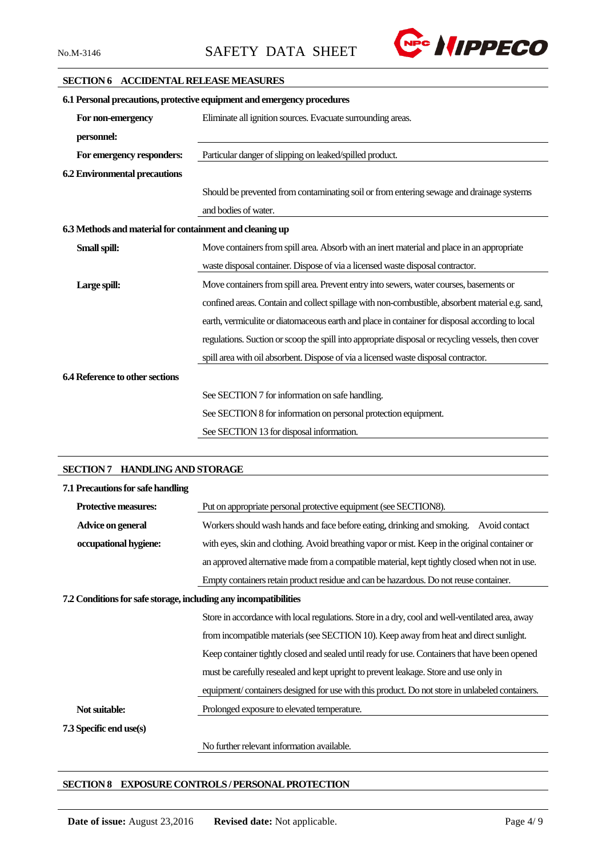

# **SECTION 6 ACCIDENTAL RELEASE MEASURES**

| 6.1 Personal precautions, protective equipment and emergency procedures |                                                                                                    |  |  |  |
|-------------------------------------------------------------------------|----------------------------------------------------------------------------------------------------|--|--|--|
| For non-emergency                                                       | Eliminate all ignition sources. Evacuate surrounding areas.                                        |  |  |  |
| personnel:                                                              |                                                                                                    |  |  |  |
| For emergency responders:                                               | Particular danger of slipping on leaked/spilled product.                                           |  |  |  |
| <b>6.2 Environmental precautions</b>                                    |                                                                                                    |  |  |  |
|                                                                         | Should be prevented from contaminating soil or from entering sewage and drainage systems           |  |  |  |
|                                                                         | and bodies of water.                                                                               |  |  |  |
| 6.3 Methods and material for containment and cleaning up                |                                                                                                    |  |  |  |
| Small spill:                                                            | Move containers from spill area. Absorb with an inert material and place in an appropriate         |  |  |  |
|                                                                         | waste disposal container. Dispose of via a licensed waste disposal contractor.                     |  |  |  |
| Large spill:                                                            | Move containers from spill area. Prevent entry into sewers, water courses, basements or            |  |  |  |
|                                                                         | confined areas. Contain and collect spillage with non-combustible, absorbent material e.g. sand,   |  |  |  |
|                                                                         | earth, vermiculite or diatomaceous earth and place in container for disposal according to local    |  |  |  |
|                                                                         | regulations. Suction or scoop the spill into appropriate disposal or recycling vessels, then cover |  |  |  |
|                                                                         | spill area with oil absorbent. Dispose of via a licensed waste disposal contractor.                |  |  |  |
| 6.4 Reference to other sections                                         |                                                                                                    |  |  |  |
|                                                                         | See SECTION 7 for information on safe handling.                                                    |  |  |  |
|                                                                         | See SECTION 8 for information on personal protection equipment.                                    |  |  |  |
|                                                                         | See SECTION 13 for disposal information.                                                           |  |  |  |
|                                                                         |                                                                                                    |  |  |  |

#### **SECTION 7 HANDLING AND STORAGE**

| 7.1 Precautions for safe handling                                |                                                                                                 |
|------------------------------------------------------------------|-------------------------------------------------------------------------------------------------|
| <b>Protective measures:</b>                                      | Put on appropriate personal protective equipment (see SECTION8).                                |
| Advice on general                                                | Workers should wash hands and face before eating, drinking and smoking.<br>Avoid contact        |
| occupational hygiene:                                            | with eyes, skin and clothing. Avoid breathing vapor or mist. Keep in the original container or  |
|                                                                  | an approved alternative made from a compatible material, kept tightly closed when not in use.   |
|                                                                  | Empty containers retain product residue and can be hazardous. Do not reuse container.           |
| 7.2 Conditions for safe storage, including any incompatibilities |                                                                                                 |
|                                                                  | Store in accordance with local regulations. Store in a dry, cool and well-ventilated area, away |
|                                                                  | from incompatible materials (see SECTION 10). Keep away from heat and direct sunlight.          |
|                                                                  | Keep container tightly closed and sealed until ready for use. Containers that have been opened  |
|                                                                  | must be carefully resealed and kept upright to prevent leakage. Store and use only in           |
|                                                                  | equipment/containers designed for use with this product. Do not store in unlabeled containers.  |
| Not suitable:                                                    | Prolonged exposure to elevated temperature.                                                     |
| 7.3 Specific end use(s)                                          |                                                                                                 |
|                                                                  | No further relevant information available.                                                      |

# **SECTION 8 EXPOSURE CONTROLS / PERSONAL PROTECTION**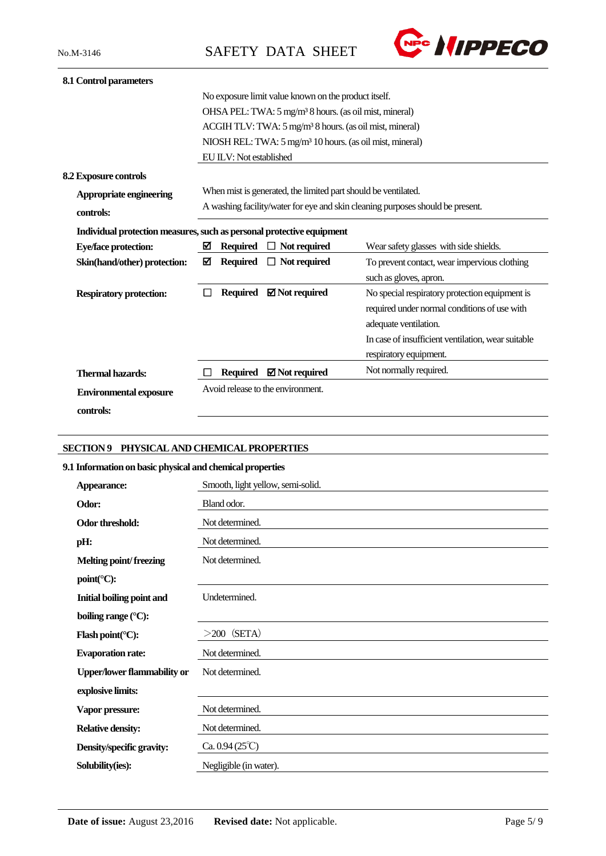

| 8.1 Control parameters                                                |                                                                                |                                                                     |                                                                      |                                                    |  |  |
|-----------------------------------------------------------------------|--------------------------------------------------------------------------------|---------------------------------------------------------------------|----------------------------------------------------------------------|----------------------------------------------------|--|--|
|                                                                       |                                                                                |                                                                     | No exposure limit value known on the product itself.                 |                                                    |  |  |
|                                                                       | OHSA PEL: TWA: 5 mg/m <sup>3</sup> 8 hours. (as oil mist, mineral)             |                                                                     |                                                                      |                                                    |  |  |
|                                                                       |                                                                                | ACGIH TLV: TWA: 5 mg/m <sup>3</sup> 8 hours. (as oil mist, mineral) |                                                                      |                                                    |  |  |
|                                                                       |                                                                                |                                                                     | NIOSH REL: TWA: 5 mg/m <sup>3</sup> 10 hours. (as oil mist, mineral) |                                                    |  |  |
|                                                                       |                                                                                | EU ILV: Not established                                             |                                                                      |                                                    |  |  |
| 8.2 Exposure controls                                                 |                                                                                |                                                                     |                                                                      |                                                    |  |  |
| Appropriate engineering                                               |                                                                                |                                                                     | When mist is generated, the limited part should be ventilated.       |                                                    |  |  |
| controls:                                                             | A washing facility/water for eye and skin cleaning purposes should be present. |                                                                     |                                                                      |                                                    |  |  |
| Individual protection measures, such as personal protective equipment |                                                                                |                                                                     |                                                                      |                                                    |  |  |
| <b>Eye/face protection:</b>                                           | ☑                                                                              | <b>Required</b>                                                     | $\Box$ Not required                                                  | Wear safety glasses with side shields.             |  |  |
| Skin(hand/other) protection:                                          | ☑                                                                              | <b>Required</b>                                                     | $\Box$ Not required                                                  | To prevent contact, wear impervious clothing       |  |  |
|                                                                       |                                                                                |                                                                     |                                                                      | such as gloves, apron.                             |  |  |
| <b>Respiratory protection:</b>                                        | $\mathsf{L}$                                                                   |                                                                     | Required $\boxtimes$ Not required                                    | No special respiratory protection equipment is     |  |  |
|                                                                       |                                                                                |                                                                     |                                                                      | required under normal conditions of use with       |  |  |
|                                                                       |                                                                                |                                                                     |                                                                      | adequate ventilation.                              |  |  |
|                                                                       |                                                                                |                                                                     |                                                                      | In case of insufficient ventilation, wear suitable |  |  |
|                                                                       |                                                                                |                                                                     |                                                                      | respiratory equipment.                             |  |  |
| <b>Thermal hazards:</b>                                               |                                                                                | <b>Required</b>                                                     | $\boxtimes$ Not required                                             | Not normally required.                             |  |  |
| <b>Environmental exposure</b>                                         | Avoid release to the environment.                                              |                                                                     |                                                                      |                                                    |  |  |
| controls:                                                             |                                                                                |                                                                     |                                                                      |                                                    |  |  |
|                                                                       |                                                                                |                                                                     |                                                                      |                                                    |  |  |

# **SECTION 9 PHYSICAL AND CHEMICAL PROPERTIES**

# **9.1 Information on basic physical and chemical properties**

| Appearance:                                | Smooth, light yellow, semi-solid. |
|--------------------------------------------|-----------------------------------|
| Odor:                                      | Bland odor.                       |
| Odor threshold:                            | Not determined.                   |
| pH:                                        | Not determined.                   |
| <b>Melting point/freezing</b>              | Not determined.                   |
| $point$ <sup>(<math>\circ</math></sup> C): |                                   |
| <b>Initial boiling point and</b>           | Undetermined.                     |
| boiling range $({}^{\circ}C)$ :            |                                   |
| Flash point( $\mathrm{C}$ ):               | $>$ 200 (SETA)                    |
| <b>Evaporation rate:</b>                   | Not determined.                   |
| <b>Upper/lower flammability or</b>         | Not determined.                   |
| explosive limits:                          |                                   |
| Vapor pressure:                            | Not determined.                   |
| <b>Relative density:</b>                   | Not determined.                   |
| Density/specific gravity:                  | Ca. $0.94(25^{\circ}\text{C})$    |
| Solubility(ies):                           | Negligible (in water).            |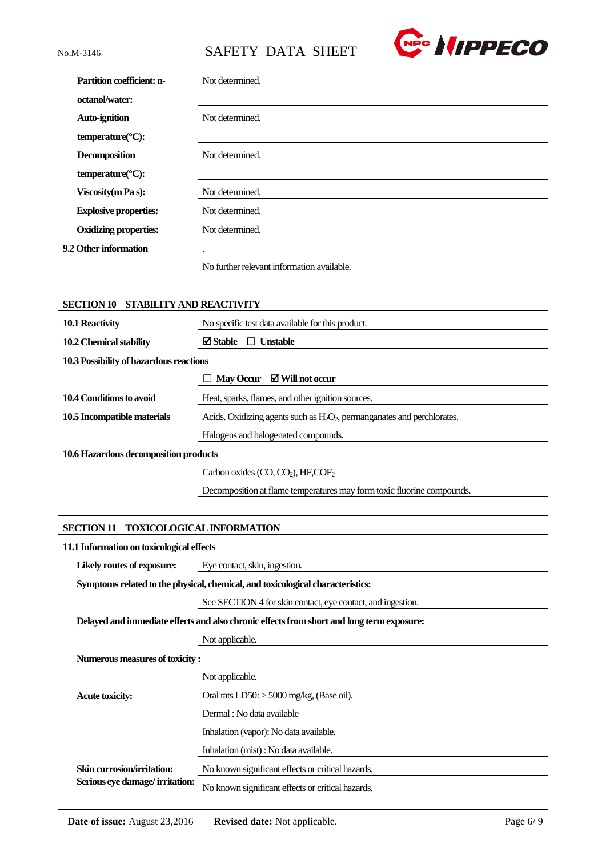

| <b>Partition coefficient: n-</b> | Not determined.                            |
|----------------------------------|--------------------------------------------|
| octanol/water:                   |                                            |
| <b>Auto-ignition</b>             | Not determined.                            |
| temperature( $\mathrm{C}$ ):     |                                            |
| <b>Decomposition</b>             | Not determined.                            |
| temperature( $\mathrm{C}$ ):     |                                            |
| <b>Viscosity</b> (m Pa s):       | Not determined.                            |
| <b>Explosive properties:</b>     | Not determined.                            |
| <b>Oxidizing properties:</b>     | Not determined.                            |
| 9.2 Other information            | $\cdot$                                    |
|                                  | No further relevant information available. |

| <b>STABILITY AND REACTIVITY</b><br><b>SECTION 10</b> |                                                                            |
|------------------------------------------------------|----------------------------------------------------------------------------|
| 10.1 Reactivity                                      | No specific test data available for this product.                          |
| 10.2 Chemical stability                              | $\boxtimes$ Stable<br>$\Box$ Unstable                                      |
| 10.3 Possibility of hazardous reactions              |                                                                            |
|                                                      | $\Box$ May Occur $\Box$ Will not occur                                     |
| 10.4 Conditions to avoid                             | Heat, sparks, flames, and other ignition sources.                          |
| 10.5 Incompatible materials                          | Acids. Oxidizing agents such as $H_2O_2$ , permanganates and perchlorates. |
|                                                      | Halogens and halogenated compounds.                                        |
| 10.6 Hazardous decomposition products                |                                                                            |
|                                                      | Carbon oxides $(CO, CO2)$ , HF,COF <sub>2</sub>                            |
|                                                      | Decomposition at flame temperatures may form toxic fluorine compounds.     |

# **SECTION 11 TOXICOLOGICAL INFORMATION**

#### **11.1 Information on toxicological effects**

Likely routes of exposure: Eye contact, skin, ingestion.

**Symptoms related to the physical, chemical, and toxicological characteristics:**

See SECTION 4 for skin contact, eye contact, and ingestion.

**Delayed and immediate effects and also chronic effects from short and long term exposure:**

|                                                              | Not applicable.                                   |
|--------------------------------------------------------------|---------------------------------------------------|
| Numerous measures of toxicity :                              |                                                   |
|                                                              | Not applicable.                                   |
| <b>Acute toxicity:</b>                                       | Oral rats $LD50$ : $> 5000$ mg/kg, (Base oil).    |
|                                                              | Dermal : No data available                        |
|                                                              | Inhalation (vapor): No data available.            |
|                                                              | Inhalation (mist) : No data available.            |
| Skin corrosion/irritation:<br>Serious eye damage/irritation: | No known significant effects or critical hazards. |
|                                                              | No known significant effects or critical hazards. |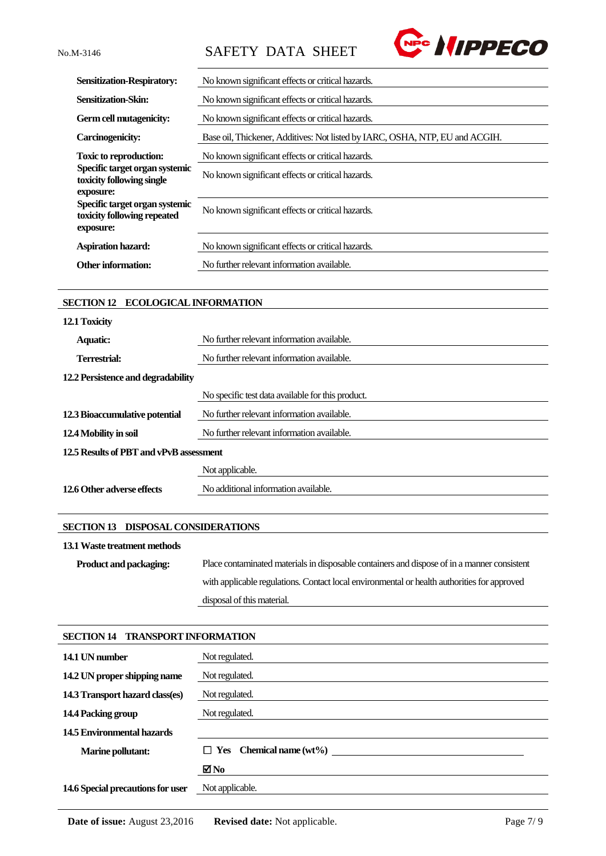

| <b>Sensitization-Respiratory:</b>                                          | No known significant effects or critical hazards.                            |
|----------------------------------------------------------------------------|------------------------------------------------------------------------------|
| Sensitization-Skin:                                                        | No known significant effects or critical hazards.                            |
| Germ cell mutagenicity:                                                    | No known significant effects or critical hazards.                            |
| Carcinogenicity:                                                           | Base oil, Thickener, Additives: Not listed by IARC, OSHA, NTP, EU and ACGIH. |
| <b>Toxic to reproduction:</b>                                              | No known significant effects or critical hazards.                            |
| Specific target organ systemic<br>toxicity following single                | No known significant effects or critical hazards.                            |
| exposure:                                                                  |                                                                              |
| Specific target organ systemic<br>toxicity following repeated<br>exposure: | No known significant effects or critical hazards.                            |
| <b>Aspiration hazard:</b>                                                  | No known significant effects or critical hazards.                            |
|                                                                            |                                                                              |
| <b>Other information:</b>                                                  | No further relevant information available.                                   |
|                                                                            |                                                                              |

# **SECTION 12 ECOLOGICAL INFORMATION**

| 12.1 Toxicity                           |                                                   |
|-----------------------------------------|---------------------------------------------------|
| <b>Aquatic:</b>                         | No further relevant information available.        |
| Terrestrial:                            | No further relevant information available.        |
| 12.2 Persistence and degradability      |                                                   |
|                                         | No specific test data available for this product. |
| 12.3 Bioaccumulative potential          | No further relevant information available.        |
| 12.4 Mobility in soil                   | No further relevant information available.        |
| 12.5 Results of PBT and vPvB assessment |                                                   |
|                                         | Not applicable.                                   |
| 12.6 Other adverse effects              | No additional information available.              |

#### **SECTION 13 DISPOSAL CONSIDERATIONS**

### **13.1Waste treatment methods**

| <b>Product and packaging:</b> | Place contaminated materials in disposable containers and dispose of in a manner consistent |
|-------------------------------|---------------------------------------------------------------------------------------------|
|                               | with applicable regulations. Contact local environmental or health authorities for approved |
|                               | disposal of this material.                                                                  |

# **SECTION 14 TRANSPORT INFORMATION**

| 14.1 UN number                    | Not regulated.                 |
|-----------------------------------|--------------------------------|
| 14.2 UN proper shipping name      | Not regulated.                 |
| 14.3 Transport hazard class(es)   | Not regulated.                 |
| 14.4 Packing group                | Not regulated.                 |
| 14.5 Environmental hazards        |                                |
| <b>Marine pollutant:</b>          | $\Box$ Yes Chemical name (wt%) |
|                                   | $\blacksquare$ No              |
| 14.6 Special precautions for user | Not applicable.                |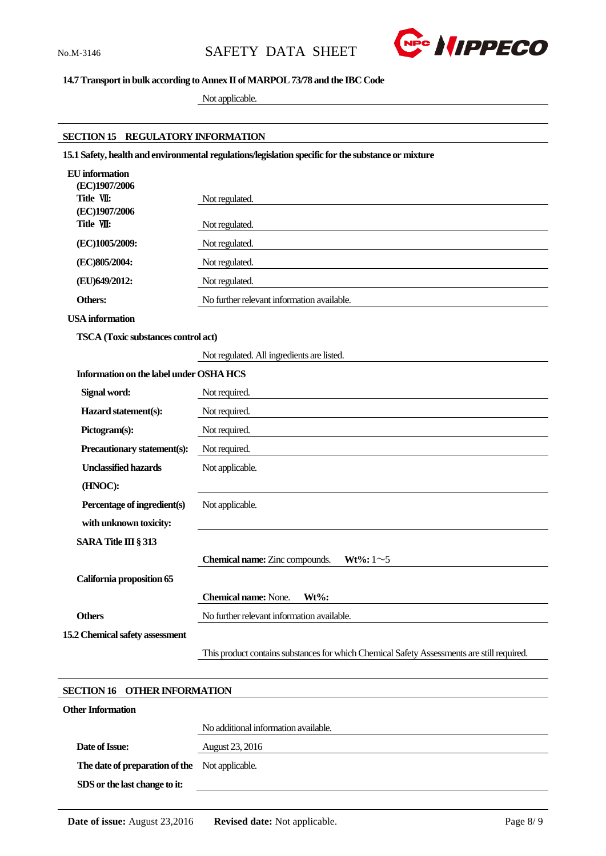

# **14.7 Transport in bulk according to Annex II of MARPOL 73/78 and the IBC Code**

Not applicable.

#### **SECTION 15 REGULATORY INFORMATION**

**15.1 Safety, health and environmental regulations/legislation specific for the substance or mixture**

| <b>EU</b> information<br>(EC)1907/2006        |                                                                                            |
|-----------------------------------------------|--------------------------------------------------------------------------------------------|
| Title VII:                                    | Not regulated.                                                                             |
| (EC)1907/2006<br>Title VII:                   | Not regulated.                                                                             |
| (EC)1005/2009:                                | Not regulated.                                                                             |
| (EC)805/2004:                                 | Not regulated.                                                                             |
| (EU)649/2012:                                 | Not regulated.                                                                             |
| Others:                                       | No further relevant information available.                                                 |
| <b>USA</b> information                        |                                                                                            |
| TSCA (Toxic substances control act)           |                                                                                            |
|                                               | Not regulated. All ingredients are listed.                                                 |
| Information on the label under OSHA HCS       |                                                                                            |
| Signal word:                                  | Not required.                                                                              |
| Hazard statement(s):                          | Not required.                                                                              |
| Pictogram(s):                                 | Not required.                                                                              |
| Precautionary statement(s):                   | Not required.                                                                              |
| <b>Unclassified hazards</b>                   | Not applicable.                                                                            |
| (HNOC):                                       |                                                                                            |
| Percentage of ingredient(s)                   | Not applicable.                                                                            |
| with unknown toxicity:                        |                                                                                            |
| <b>SARA Title III § 313</b>                   |                                                                                            |
|                                               | Chemical name: Zinc compounds.<br><b>Wt%</b> : $1 \sim 5$                                  |
| California proposition 65                     |                                                                                            |
|                                               | <b>Chemical name: None.</b><br>Wt%:                                                        |
| <b>Others</b>                                 | No further relevant information available.                                                 |
| 15.2 Chemical safety assessment               |                                                                                            |
|                                               | This product contains substances for which Chemical Safety Assessments are still required. |
|                                               |                                                                                            |
| <b>SECTION 16</b><br><b>OTHER INFORMATION</b> |                                                                                            |
| <b>Other Information</b>                      |                                                                                            |